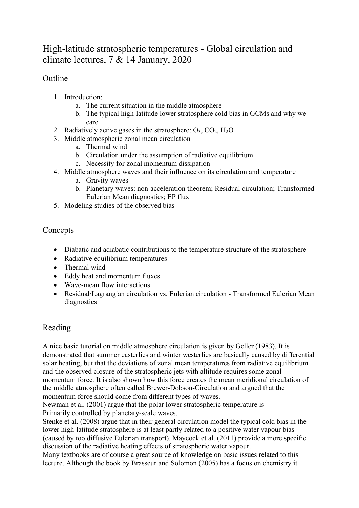# High-latitude stratospheric temperatures - Global circulation and climate lectures, 7 & 14 January, 2020

## **Outline**

- 1. Introduction:
	- a. The current situation in the middle atmosphere
	- b. The typical high-latitude lower stratosphere cold bias in GCMs and why we care
- 2. Radiatively active gases in the stratosphere:  $O_3$ ,  $CO_2$ ,  $H_2O$
- 3. Middle atmospheric zonal mean circulation
	- a. Thermal wind
	- b. Circulation under the assumption of radiative equilibrium
	- c. Necessity for zonal momentum dissipation
- 4. Middle atmosphere waves and their influence on its circulation and temperature
	- a. Gravity waves
	- b. Planetary waves: non-acceleration theorem; Residual circulation; Transformed Eulerian Mean diagnostics; EP flux
- 5. Modeling studies of the observed bias

### Concepts

- Diabatic and adiabatic contributions to the temperature structure of the stratosphere
- Radiative equilibrium temperatures
- Thermal wind
- Eddy heat and momentum fluxes
- Wave-mean flow interactions
- Residual/Lagrangian circulation vs. Eulerian circulation Transformed Eulerian Mean diagnostics

## Reading

A nice basic tutorial on middle atmosphere circulation is given by Geller (1983). It is demonstrated that summer easterlies and winter westerlies are basically caused by differential solar heating, but that the deviations of zonal mean temperatures from radiative equilibrium and the observed closure of the stratospheric jets with altitude requires some zonal momentum force. It is also shown how this force creates the mean meridional circulation of the middle atmosphere often called Brewer-Dobson-Circulation and argued that the momentum force should come from different types of waves.

Newman et al. (2001) argue that the polar lower stratospheric temperature is Primarily controlled by planetary-scale waves.

Stenke et al. (2008) argue that in their general circulation model the typical cold bias in the lower high-latitude stratosphere is at least partly related to a positive water vapour bias (caused by too diffusive Eulerian transport). Maycock et al. (2011) provide a more specific discussion of the radiative heating effects of stratospheric water vapour.

Many textbooks are of course a great source of knowledge on basic issues related to this lecture. Although the book by Brasseur and Solomon (2005) has a focus on chemistry it